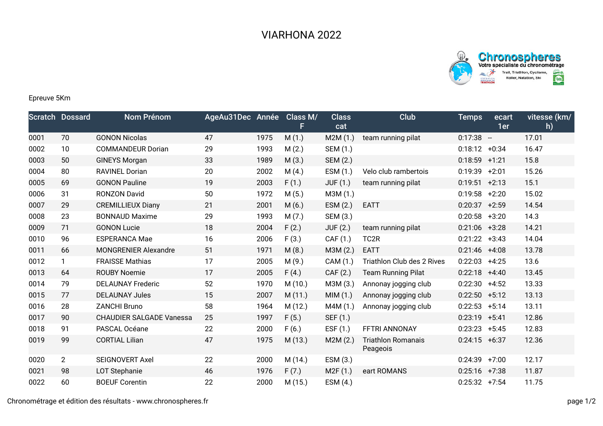



## Epreuve 5Km

|      | <b>Scratch Dossard</b> | Nom Prénom                      | AgeAu31Dec Année |      | Class M/<br>F. | <b>Class</b><br>cat | Club                                  | <b>Temps</b>    | ecart<br>1er | vitesse (km/<br>h) |
|------|------------------------|---------------------------------|------------------|------|----------------|---------------------|---------------------------------------|-----------------|--------------|--------------------|
| 0001 | 70                     | <b>GONON Nicolas</b>            | 47               | 1975 | M(1.)          | M2M(1.)             | team running pilat                    | $0:17:38 -$     |              | 17.01              |
| 0002 | 10                     | <b>COMMANDEUR Dorian</b>        | 29               | 1993 | M(2.)          | SEM (1.)            |                                       | $0:18:12 +0:34$ |              | 16.47              |
| 0003 | 50                     | <b>GINEYS Morgan</b>            | 33               | 1989 | M(3.)          | SEM (2.)            |                                       | $0:18:59$ +1:21 |              | 15.8               |
| 0004 | 80                     | <b>RAVINEL Dorian</b>           | 20               | 2002 | M(4.)          | ESM (1.)            | Velo club rambertois                  | 0:19:39         | $+2:01$      | 15.26              |
| 0005 | 69                     | <b>GONON Pauline</b>            | 19               | 2003 | F(1.)          | <b>JUF (1.)</b>     | team running pilat                    | $0:19:51$ +2:13 |              | 15.1               |
| 0006 | 31                     | <b>RONZON David</b>             | 50               | 1972 | M(5.)          | M3M (1.)            |                                       | 0:19:58         | $+2:20$      | 15.02              |
| 0007 | 29                     | <b>CREMILLIEUX Diany</b>        | 21               | 2001 | M(6.)          | ESM (2.)            | <b>EATT</b>                           | $0:20:37$ +2:59 |              | 14.54              |
| 0008 | 23                     | <b>BONNAUD Maxime</b>           | 29               | 1993 | M(7.)          | SEM (3.)            |                                       | 0:20:58         | $+3:20$      | 14.3               |
| 0009 | 71                     | <b>GONON Lucie</b>              | 18               | 2004 | F(2.)          | <b>JUF (2.)</b>     | team running pilat                    | $0:21:06$ +3:28 |              | 14.21              |
| 0010 | 96                     | <b>ESPERANCA Mae</b>            | 16               | 2006 | F(3.)          | CAF (1.)            | TC <sub>2R</sub>                      | 0:21:22         | $+3:43$      | 14.04              |
| 0011 | 66                     | <b>MONGRENIER Alexandre</b>     | 51               | 1971 | M(8.)          | M3M (2.)            | <b>EATT</b>                           | $0:21:46$ +4:08 |              | 13.78              |
| 0012 | $\mathbf{1}$           | <b>FRAISSE Mathias</b>          | 17               | 2005 | M(9.)          | CAM (1.)            | Triathlon Club des 2 Rives            | 0:22:03         | $+4:25$      | 13.6               |
| 0013 | 64                     | <b>ROUBY Noemie</b>             | 17               | 2005 | F(4.)          | CAF (2.)            | <b>Team Running Pilat</b>             | 0:22:18         | $+4:40$      | 13.45              |
| 0014 | 79                     | <b>DELAUNAY Frederic</b>        | 52               | 1970 | M(10.)         | M3M (3.)            | Annonay jogging club                  | 0:22:30         | $+4:52$      | 13.33              |
| 0015 | 77                     | <b>DELAUNAY Jules</b>           | 15               | 2007 | M(11.)         | MIM(1.)             | Annonay jogging club                  | 0:22:50         | $+5:12$      | 13.13              |
| 0016 | 28                     | <b>ZANCHI Bruno</b>             | 58               | 1964 | M(12.)         | M4M(1.)             | Annonay jogging club                  | 0:22:53         | $+5:14$      | 13.11              |
| 0017 | 90                     | <b>CHAUDIER SALGADE Vanessa</b> | 25               | 1997 | F(5.)          | SEF (1.)            |                                       | 0:23:19         | $+5:41$      | 12.86              |
| 0018 | 91                     | PASCAL Océane                   | 22               | 2000 | F(6.)          | ESF $(1.)$          | FFTRI ANNONAY                         | 0:23:23         | $+5:45$      | 12.83              |
| 0019 | 99                     | <b>CORTIAL Lilian</b>           | 47               | 1975 | M (13.)        | M2M(2.)             | <b>Triathlon Romanais</b><br>Peageois | 0:24:15         | $+6:37$      | 12.36              |
| 0020 | $\overline{2}$         | <b>SEIGNOVERT Axel</b>          | 22               | 2000 | M (14.)        | ESM (3.)            |                                       | 0:24:39         | $+7:00$      | 12.17              |
| 0021 | 98                     | <b>LOT Stephanie</b>            | 46               | 1976 | F(7.)          | M2F(1.)             | eart ROMANS                           | $0:25:16$ +7:38 |              | 11.87              |
| 0022 | 60                     | <b>BOEUF Corentin</b>           | 22               | 2000 | M (15.)        | ESM(4.)             |                                       | $0:25:32$ +7:54 |              | 11.75              |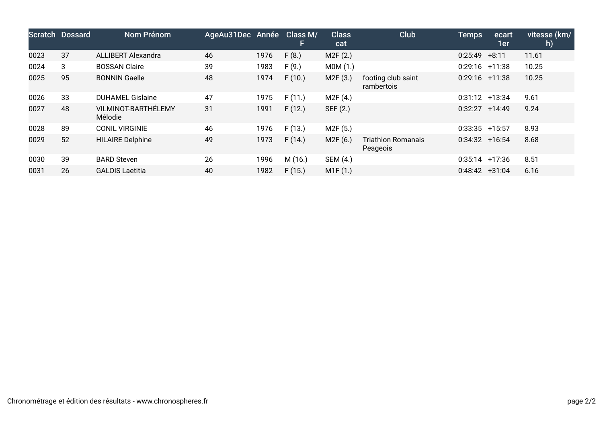|      | Scratch Dossard | <b>Nom Prénom</b>              | AgeAu31Dec Année |      | Class M/<br>H. | <b>Class</b><br>cat | <b>Club</b>                           | <b>Temps</b>      | ecart<br>1er | vitesse (km/<br>h) |
|------|-----------------|--------------------------------|------------------|------|----------------|---------------------|---------------------------------------|-------------------|--------------|--------------------|
| 0023 | 37              | <b>ALLIBERT Alexandra</b>      | 46               | 1976 | F(8.)          | M2F(2.)             |                                       | 0:25:49           | $+8:11$      | 11.61              |
| 0024 | 3               | <b>BOSSAN Claire</b>           | 39               | 1983 | F(9.)          | MOM(1.)             |                                       | $0:29:16$ +11:38  |              | 10.25              |
| 0025 | 95              | <b>BONNIN Gaelle</b>           | 48               | 1974 | F(10.)         | M2F(3.)             | footing club saint<br>rambertois      | $0:29:16$ +11:38  |              | 10.25              |
| 0026 | 33              | <b>DUHAMEL Gislaine</b>        | 47               | 1975 | F(11.)         | M2F(4.)             |                                       | $0:31:12 +13:34$  |              | 9.61               |
| 0027 | 48              | VILMINOT-BARTHÉLEMY<br>Mélodie | 31               | 1991 | F(12.)         | SEF (2.)            |                                       | 0:32:27           | $+14:49$     | 9.24               |
| 0028 | 89              | <b>CONIL VIRGINIE</b>          | 46               | 1976 | F(13.)         | M2F(5.)             |                                       | $0:33:35$ +15:57  |              | 8.93               |
| 0029 | 52              | <b>HILAIRE Delphine</b>        | 49               | 1973 | F(14.)         | M2F (6.)            | <b>Triathlon Romanais</b><br>Peageois | $0:34:32 + 16:54$ |              | 8.68               |
| 0030 | 39              | <b>BARD Steven</b>             | 26               | 1996 | M (16.)        | SEM (4.)            |                                       | $0:35:14$ +17:36  |              | 8.51               |
| 0031 | 26              | <b>GALOIS Laetitia</b>         | 40               | 1982 | F(15.)         | M1F(1.)             |                                       | $0:48:42 +31:04$  |              | 6.16               |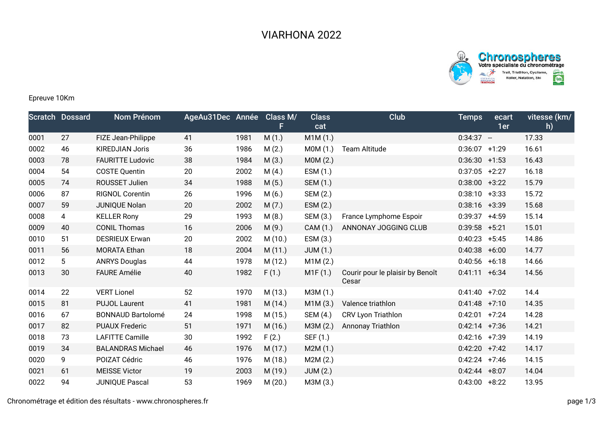



## Epreuve 10Km

|      | <b>Scratch Dossard</b> | <b>Nom Prénom</b>        | AgeAu31Dec Année |      | Class M/ | <b>Class</b><br>cat | Club                                      | <b>Temps</b>     | ecart<br>1er | vitesse (km/<br>h) |
|------|------------------------|--------------------------|------------------|------|----------|---------------------|-------------------------------------------|------------------|--------------|--------------------|
| 0001 | 27                     | FIZE Jean-Philippe       | 41               | 1981 | M(1.)    | M1M(1.)             |                                           | $0:34:37 -$      |              | 17.33              |
| 0002 | 46                     | <b>KIREDJIAN Joris</b>   | 36               | 1986 | M(2.)    | MOM(1.)             | <b>Team Altitude</b>                      | 0:36:07          | $+1:29$      | 16.61              |
| 0003 | 78                     | <b>FAURITTE Ludovic</b>  | 38               | 1984 | M(3.)    | MOM(2.)             |                                           | $0:36:30 +1:53$  |              | 16.43              |
| 0004 | 54                     | <b>COSTE Quentin</b>     | 20               | 2002 | M(4.)    | ESM(1.)             |                                           | 0:37:05          | $+2:27$      | 16.18              |
| 0005 | 74                     | ROUSSET Julien           | 34               | 1988 | M(5.)    | SEM (1.)            |                                           | 0:38:00          | $+3:22$      | 15.79              |
| 0006 | 87                     | <b>RIGNOL Corentin</b>   | 26               | 1996 | M(6.)    | SEM (2.)            |                                           | 0:38:10          | $+3:33$      | 15.72              |
| 0007 | 59                     | JUNIQUE Nolan            | 20               | 2002 | M(7.)    | ESM (2.)            |                                           | $0:38:16$ +3:39  |              | 15.68              |
| 0008 | 4                      | <b>KELLER Rony</b>       | 29               | 1993 | M(8.)    | SEM (3.)            | France Lymphome Espoir                    | 0:39:37          | $+4:59$      | 15.14              |
| 0009 | 40                     | <b>CONIL Thomas</b>      | 16               | 2006 | M(9.)    | CAM (1.)            | ANNONAY JOGGING CLUB                      | $0:39:58$ +5:21  |              | 15.01              |
| 0010 | 51                     | <b>DESRIEUX Erwan</b>    | 20               | 2002 | M(10.)   | ESM(3.)             |                                           | 0:40:23          | $+5:45$      | 14.86              |
| 0011 | 56                     | <b>MORATA Ethan</b>      | 18               | 2004 | M(11.)   | JUM(1.)             |                                           | 0:40:38          | $+6:00$      | 14.77              |
| 0012 | 5 <sup>5</sup>         | <b>ANRYS Douglas</b>     | 44               | 1978 | M (12.)  | M1M(2.)             |                                           | 0:40:56          | $+6:18$      | 14.66              |
| 0013 | 30                     | <b>FAURE Amélie</b>      | 40               | 1982 | F(1.)    | M1F(1.)             | Courir pour le plaisir by Benoît<br>Cesar | 0:41:11          | $+6:34$      | 14.56              |
| 0014 | 22                     | <b>VERT Lionel</b>       | 52               | 1970 | M (13.)  | M3M (1.)            |                                           | $0:41:40 +7:02$  |              | 14.4               |
| 0015 | 81                     | <b>PUJOL Laurent</b>     | 41               | 1981 | M(14.)   | M1M(3.)             | Valence triathlon                         | $0:41:48$ +7:10  |              | 14.35              |
| 0016 | 67                     | <b>BONNAUD Bartolomé</b> | 24               | 1998 | M (15.)  | SEM (4.)            | CRV Lyon Triathlon                        | $0:42:01$ +7:24  |              | 14.28              |
| 0017 | 82                     | <b>PUAUX Frederic</b>    | 51               | 1971 | M(16.)   | M3M (2.)            | <b>Annonay Triathlon</b>                  | $0:42:14$ +7:36  |              | 14.21              |
| 0018 | 73                     | <b>LAFITTE Camille</b>   | 30               | 1992 | F(2.)    | SEF (1.)            |                                           | $0:42:16$ +7:39  |              | 14.19              |
| 0019 | 34                     | <b>BALANDRAS Michael</b> | 46               | 1976 | M(17.)   | M2M(1.)             |                                           | 0:42:20          | $+7:42$      | 14.17              |
| 0020 | 9                      | POIZAT Cédric            | 46               | 1976 | M (18.)  | M2M(2.)             |                                           | $0:42:24$ +7:46  |              | 14.15              |
| 0021 | 61                     | <b>MEISSE Victor</b>     | 19               | 2003 | M (19.)  | JUM(2.)             |                                           | $0:42:44 + 8:07$ |              | 14.04              |
| 0022 | 94                     | <b>JUNIQUE Pascal</b>    | 53               | 1969 | M(20.)   | M3M (3.)            |                                           | $0:43:00$ +8:22  |              | 13.95              |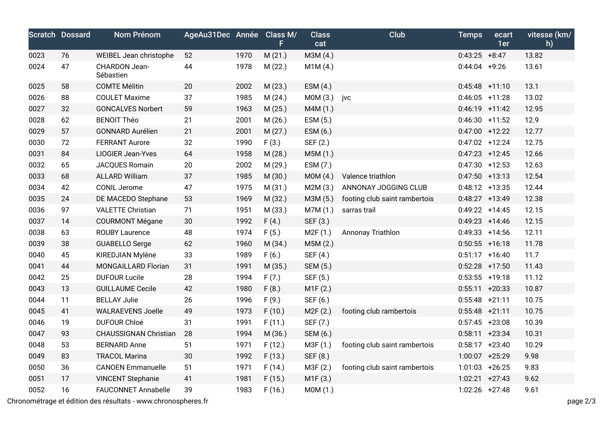|      | <b>Scratch Dossard</b> | Nom Prénom                   | AgeAu31Dec Année Class M/ |      | F       | <b>Class</b><br>cat | Club                          | <b>Temps</b>      | ecart<br>1er | vitesse (km/<br>h) |
|------|------------------------|------------------------------|---------------------------|------|---------|---------------------|-------------------------------|-------------------|--------------|--------------------|
| 0023 | 76                     | WEIBEL Jean christophe       | 52                        | 1970 | M(21.)  | M3M (4.)            |                               | $0:43:25$ +8:47   |              | 13.82              |
| 0024 | 47                     | CHARDON Jean-<br>Sébastien   | 44                        | 1978 | M(22.)  | M1M(4.)             |                               | $0:44:04$ +9:26   |              | 13.61              |
| 0025 | 58                     | <b>COMTE Mélitin</b>         | 20                        | 2002 | M(23.)  | ESM (4.)            |                               | $0:45:48$ +11:10  |              | 13.1               |
| 0026 | 88                     | <b>COULET Maxime</b>         | 37                        | 1985 | M(24.)  | MOM(3.)             | jvc                           | $0:46:05$ +11:28  |              | 13.02              |
| 0027 | 32                     | <b>GONCALVES Norbert</b>     | 59                        | 1963 | M(25.)  | M4M (1.)            |                               | $0:46:19$ +11:42  |              | 12.95              |
| 0028 | 62                     | <b>BENOIT Théo</b>           | 21                        | 2001 | M(26.)  | ESM (5.)            |                               | $0:46:30 +11:52$  |              | 12.9               |
| 0029 | 57                     | <b>GONNARD Aurélien</b>      | 21                        | 2001 | M(27.)  | ESM (6.)            |                               | $0:47:00$ +12:22  |              | 12.77              |
| 0030 | 72                     | <b>FERRANT Aurore</b>        | 32                        | 1990 | F(3.)   | SEF (2.)            |                               | $0:47:02$ +12:24  |              | 12.75              |
| 0031 | 84                     | <b>LIOGIER Jean-Yves</b>     | 64                        | 1958 | M(28.)  | M5M(1.)             |                               | $0:47:23 +12:45$  |              | 12.66              |
| 0032 | 65                     | JACQUES Romain               | 20                        | 2002 | M (29.) | ESM (7.)            |                               | $0:47:30 + 12:53$ |              | 12.63              |
| 0033 | 68                     | <b>ALLARD William</b>        | 37                        | 1985 | M (30.) | MOM(4.)             | Valence triathlon             | $0:47:50$ +13:13  |              | 12.54              |
| 0034 | 42                     | <b>CONIL Jerome</b>          | 47                        | 1975 | M (31.) | M2M (3.)            | ANNONAY JOGGING CLUB          | $0:48:12 +13:35$  |              | 12.44              |
| 0035 | 24                     | DE MACEDO Stephane           | 53                        | 1969 | M (32.) | M3M (5.)            | footing club saint rambertois | $0:48:27$ +13:49  |              | 12.38              |
| 0036 | 97                     | <b>VALETTE Christian</b>     | 71                        | 1951 | M (33.) | M7M(1.)             | sarras trail                  | $0:49:22 +14:45$  |              | 12.15              |
| 0037 | 14                     | <b>COURMONT Mégane</b>       | 30                        | 1992 | F(4.)   | SEF (3.)            |                               | $0:49:23 + 14:46$ |              | 12.15              |
| 0038 | 63                     | <b>ROUBY Laurence</b>        | 48                        | 1974 | F(5.)   | M2F(1.)             | Annonay Triathlon             | $0:49:33 + 14:56$ |              | 12.11              |
| 0039 | 38                     | <b>GUABELLO Serge</b>        | 62                        | 1960 | M(34.)  | M5M(2.)             |                               | $0:50:55$ +16:18  |              | 11.78              |
| 0040 | 45                     | KIREDJIAN Mylène             | 33                        | 1989 | F(6.)   | SEF (4.)            |                               | $0:51:17$ +16:40  |              | 11.7               |
| 0041 | 44                     | <b>MONGAILLARD Florian</b>   | 31                        | 1991 | M(35.)  | SEM (5.)            |                               | $0:52:28$ +17:50  |              | 11.43              |
| 0042 | 25                     | <b>DUFOUR Lucile</b>         | 28                        | 1994 | F(7.)   | SEF (5.)            |                               | $0:53:55$ +19:18  |              | 11.12              |
| 0043 | 13                     | <b>GUILLAUME Cecile</b>      | 42                        | 1980 | F(8.)   | M1F(2.)             |                               | $0:55:11 + 20:33$ |              | 10.87              |
| 0044 | 11                     | <b>BELLAY Julie</b>          | 26                        | 1996 | F(9.)   | SEF (6.)            |                               | $0:55:48$ +21:11  |              | 10.75              |
| 0045 | 41                     | <b>WALRAEVENS Joelle</b>     | 49                        | 1973 | F(10.)  | M2F(2.)             | footing club rambertois       | $0:55:48$ +21:11  |              | 10.75              |
| 0046 | 19                     | <b>DUFOUR Chloé</b>          | 31                        | 1991 | F(11.)  | SEF (7.)            |                               | $0:57:45$ +23:08  |              | 10.39              |
| 0047 | 93                     | <b>CHAUSSIGNAN Christian</b> | 28                        | 1994 | M (36.) | SEM (6.)            |                               | $0:58:11 + 23:34$ |              | 10.31              |
| 0048 | 53                     | <b>BERNARD Anne</b>          | 51                        | 1971 | F(12.)  | M3F (1.)            | footing club saint rambertois | $0:58:17$ +23:40  |              | 10.29              |
| 0049 | 83                     | <b>TRACOL Marina</b>         | 30                        | 1992 | F(13.)  | SEF (8.)            |                               | $1:00:07$ +25:29  |              | 9.98               |
| 0050 | 36                     | <b>CANOEN Emmanuelle</b>     | 51                        | 1971 | F(14.)  | M3F (2.)            | footing club saint rambertois | $1:01:03$ +26:25  |              | 9.83               |
| 0051 | 17                     | <b>VINCENT Stephanie</b>     | 41                        | 1981 | F(15.)  | M1F(3.)             |                               | $1:02:21$ +27:43  |              | 9.62               |
| 0052 | 16                     | <b>FAUCONNET Annabelle</b>   | 39                        | 1983 | F(16.)  | M0M (1.)            |                               | $1:02:26$ +27:48  |              | 9.61               |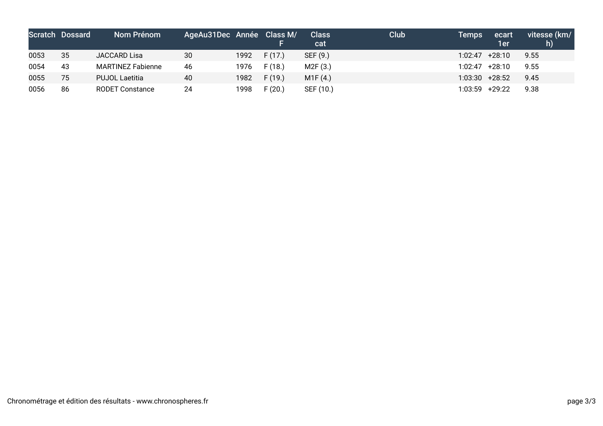|      | <b>Scratch Dossard</b> | Nom Prénom               | AgeAu31Dec Année Class M/ |      |        | <b>Class</b><br>cat | Club | Temps            | ecart<br>1er | vitesse (km/<br>h) |
|------|------------------------|--------------------------|---------------------------|------|--------|---------------------|------|------------------|--------------|--------------------|
| 0053 | 35                     | JACCARD Lisa             | 30                        | 1992 | F(17)  | SEF (9.)            |      | 1:02:47          | +28:10       | 9.55               |
| 0054 | 43                     | <b>MARTINEZ Fabienne</b> | 46                        | 1976 | F(18.) | M2F(3.)             |      | 1:02:47          | +28:10       | 9.55               |
| 0055 | 75                     | <b>PUJOL Laetitia</b>    | 40                        | 1982 | F(19.) | M1F(4.)             |      | $1:03:30$ +28:52 |              | 9.45               |
| 0056 | 86                     | <b>RODET Constance</b>   | 24                        | 1998 | F(20.) | SEF (10.)           |      | 1:03:59          | +29:22       | 9.38               |